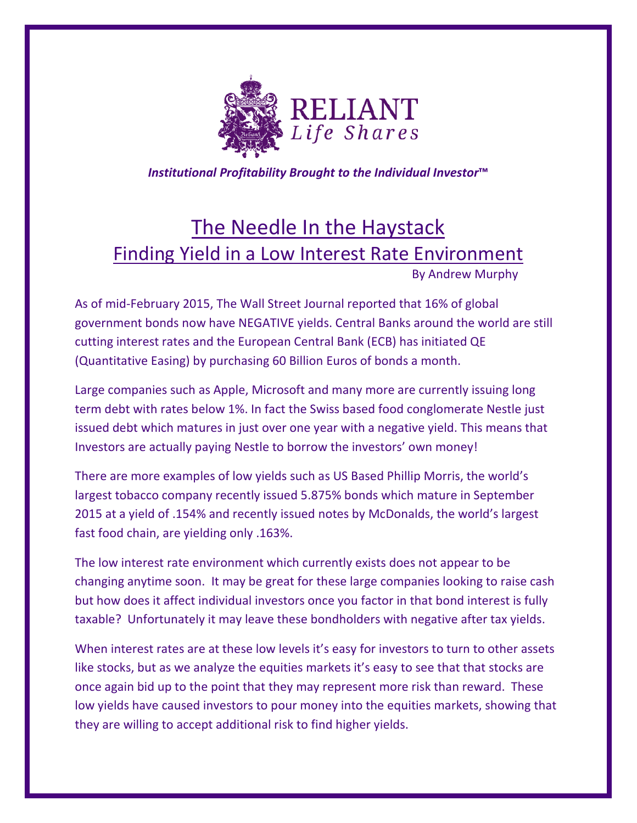

*Institutional Profitability Brought to the Individual Investor***™**

## The Needle In the Haystack Finding Yield in a Low Interest Rate Environment By Andrew Murphy

As of mid-February 2015, The Wall Street Journal reported that 16% of global government bonds now have NEGATIVE yields. Central Banks around the world are still cutting interest rates and the European Central Bank (ECB) has initiated QE (Quantitative Easing) by purchasing 60 Billion Euros of bonds a month.

Large companies such as Apple, Microsoft and many more are currently issuing long term debt with rates below 1%. In fact the Swiss based food conglomerate Nestle just issued debt which matures in just over one year with a negative yield. This means that Investors are actually paying Nestle to borrow the investors' own money!

There are more examples of low yields such as US Based Phillip Morris, the world's largest tobacco company recently issued 5.875% bonds which mature in September 2015 at a yield of .154% and recently issued notes by McDonalds, the world's largest fast food chain, are yielding only .163%.

The low interest rate environment which currently exists does not appear to be changing anytime soon. It may be great for these large companies looking to raise cash but how does it affect individual investors once you factor in that bond interest is fully taxable? Unfortunately it may leave these bondholders with negative after tax yields.

When interest rates are at these low levels it's easy for investors to turn to other assets like stocks, but as we analyze the equities markets it's easy to see that that stocks are once again bid up to the point that they may represent more risk than reward. These low yields have caused investors to pour money into the equities markets, showing that they are willing to accept additional risk to find higher yields.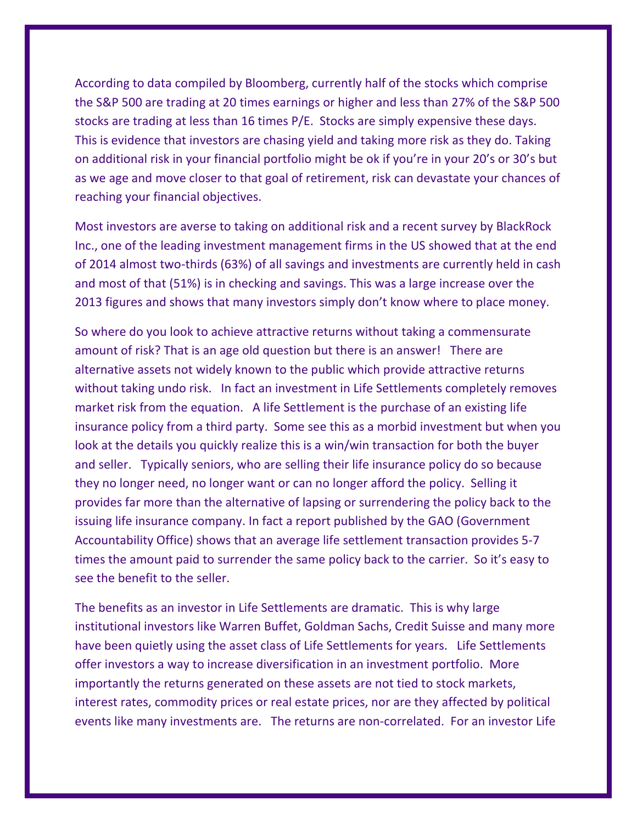According to data compiled by Bloomberg, currently half of the stocks which comprise the S&P 500 are trading at 20 times earnings or higher and less than 27% of the S&P 500 stocks are trading at less than 16 times P/E. Stocks are simply expensive these days. This is evidence that investors are chasing yield and taking more risk as they do. Taking on additional risk in your financial portfolio might be ok if you're in your 20's or 30's but as we age and move closer to that goal of retirement, risk can devastate your chances of reaching your financial objectives.

Most investors are averse to taking on additional risk and a recent survey by BlackRock Inc., one of the leading investment management firms in the US showed that at the end of 2014 almost two-thirds (63%) of all savings and investments are currently held in cash and most of that (51%) is in checking and savings. This was a large increase over the 2013 figures and shows that many investors simply don't know where to place money.

So where do you look to achieve attractive returns without taking a commensurate amount of risk? That is an age old question but there is an answer! There are alternative assets not widely known to the public which provide attractive returns without taking undo risk. In fact an investment in Life Settlements completely removes market risk from the equation. A life Settlement is the purchase of an existing life insurance policy from a third party. Some see this as a morbid investment but when you look at the details you quickly realize this is a win/win transaction for both the buyer and seller. Typically seniors, who are selling their life insurance policy do so because they no longer need, no longer want or can no longer afford the policy. Selling it provides far more than the alternative of lapsing or surrendering the policy back to the issuing life insurance company. In fact a report published by the GAO (Government Accountability Office) shows that an average life settlement transaction provides 5-7 times the amount paid to surrender the same policy back to the carrier. So it's easy to see the benefit to the seller.

The benefits as an investor in Life Settlements are dramatic. This is why large institutional investors like Warren Buffet, Goldman Sachs, Credit Suisse and many more have been quietly using the asset class of Life Settlements for years. Life Settlements offer investors a way to increase diversification in an investment portfolio. More importantly the returns generated on these assets are not tied to stock markets, interest rates, commodity prices or real estate prices, nor are they affected by political events like many investments are. The returns are non-correlated. For an investor Life